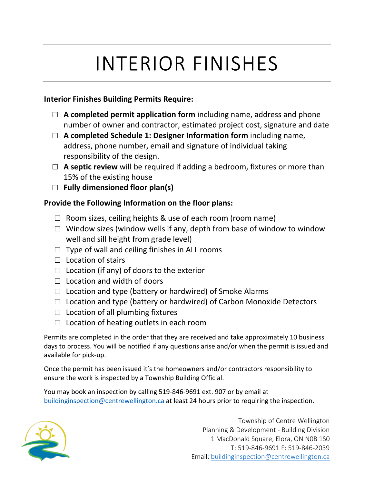## INTERIOR FINISHES

## **Interior Finishes Building Permits Require:**

- □ **A completed permit application form** including name, address and phone number of owner and contractor, estimated project cost, signature and date
- □ **A completed Schedule 1: Designer Information form** including name, address, phone number, email and signature of individual taking responsibility of the design.
- □ **A septic review** will be required if adding a bedroom, fixtures or more than 15% of the existing house
- □ **Fully dimensioned floor plan(s)**

## **Provide the Following Information on the floor plans:**

- $\Box$  Room sizes, ceiling heights & use of each room (room name)
- $\Box$  Window sizes (window wells if any, depth from base of window to window well and sill height from grade level)
- $\Box$  Type of wall and ceiling finishes in ALL rooms
- $\Box$  Location of stairs
- $\Box$  Location (if any) of doors to the exterior
- $\Box$  Location and width of doors
- $\Box$  Location and type (battery or hardwired) of Smoke Alarms
- $\Box$  Location and type (battery or hardwired) of Carbon Monoxide Detectors
- $\Box$  Location of all plumbing fixtures
- $\Box$  Location of heating outlets in each room

Permits are completed in the order that they are received and take approximately 10 business days to process. You will be notified if any questions arise and/or when the permit is issued and available for pick-up.

Once the permit has been issued it's the homeowners and/or contractors responsibility to ensure the work is inspected by a Township Building Official.

You may book an inspection by calling 519-846-9691 ext. 907 or by email at buildinginspection@centrewellington.ca at least 24 hours prior to requiring the inspection.



Township of Centre Wellington Planning & Development - Building Division 1 MacDonald Square, Elora, ON N0B 1S0 T: 519-846-9691 F: 519-846-2039 Email: buildinginspection@centrewellington.ca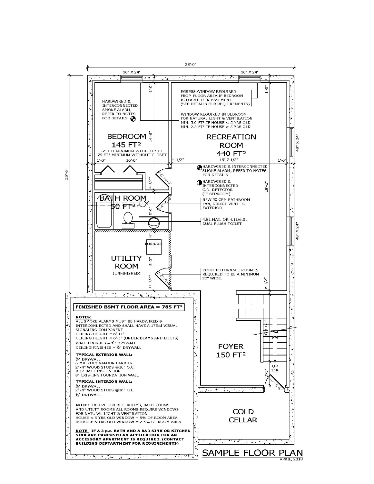